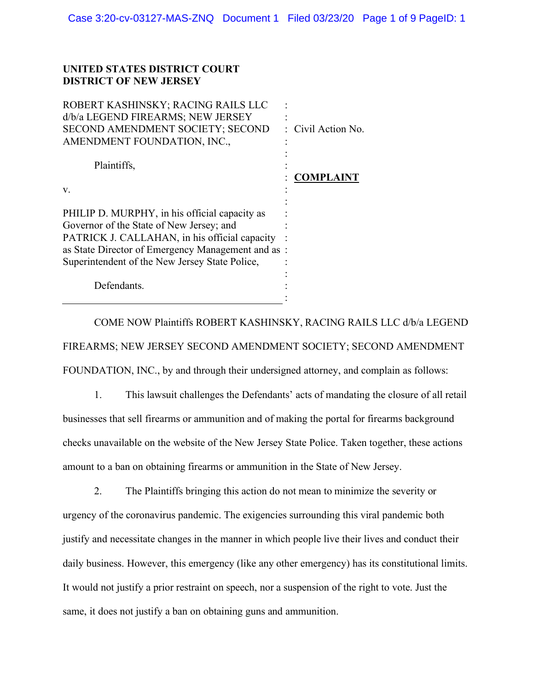## **UNITED STATES DISTRICT COURT DISTRICT OF NEW JERSEY**

| ROBERT KASHINSKY; RACING RAILS LLC<br>d/b/a LEGEND FIREARMS; NEW JERSEY<br>SECOND AMENDMENT SOCIETY; SECOND                                                                                                                                       | : Civil Action No. |
|---------------------------------------------------------------------------------------------------------------------------------------------------------------------------------------------------------------------------------------------------|--------------------|
| AMENDMENT FOUNDATION, INC.,                                                                                                                                                                                                                       |                    |
| Plaintiffs,                                                                                                                                                                                                                                       | <b>COMPLAINT</b>   |
| V.                                                                                                                                                                                                                                                |                    |
| PHILIP D. MURPHY, in his official capacity as<br>Governor of the State of New Jersey; and<br>PATRICK J. CALLAHAN, in his official capacity<br>as State Director of Emergency Management and as:<br>Superintendent of the New Jersey State Police, |                    |
| Defendants.                                                                                                                                                                                                                                       |                    |
|                                                                                                                                                                                                                                                   |                    |

COME NOW Plaintiffs ROBERT KASHINSKY, RACING RAILS LLC d/b/a LEGEND FIREARMS; NEW JERSEY SECOND AMENDMENT SOCIETY; SECOND AMENDMENT FOUNDATION, INC., by and through their undersigned attorney, and complain as follows:

1. This lawsuit challenges the Defendants' acts of mandating the closure of all retail businesses that sell firearms or ammunition and of making the portal for firearms background checks unavailable on the website of the New Jersey State Police. Taken together, these actions amount to a ban on obtaining firearms or ammunition in the State of New Jersey.

2. The Plaintiffs bringing this action do not mean to minimize the severity or urgency of the coronavirus pandemic. The exigencies surrounding this viral pandemic both justify and necessitate changes in the manner in which people live their lives and conduct their daily business. However, this emergency (like any other emergency) has its constitutional limits. It would not justify a prior restraint on speech, nor a suspension of the right to vote. Just the same, it does not justify a ban on obtaining guns and ammunition.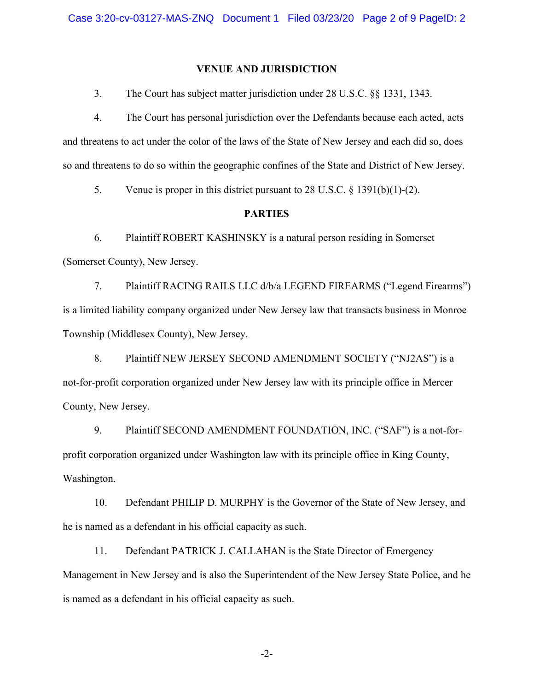#### **VENUE AND JURISDICTION**

3. The Court has subject matter jurisdiction under 28 U.S.C. §§ 1331, 1343.

4. The Court has personal jurisdiction over the Defendants because each acted, acts and threatens to act under the color of the laws of the State of New Jersey and each did so, does so and threatens to do so within the geographic confines of the State and District of New Jersey.

5. Venue is proper in this district pursuant to 28 U.S.C. § 1391(b)(1)-(2).

## **PARTIES**

6. Plaintiff ROBERT KASHINSKY is a natural person residing in Somerset (Somerset County), New Jersey.

7. Plaintiff RACING RAILS LLC d/b/a LEGEND FIREARMS ("Legend Firearms") is a limited liability company organized under New Jersey law that transacts business in Monroe Township (Middlesex County), New Jersey.

8. Plaintiff NEW JERSEY SECOND AMENDMENT SOCIETY ("NJ2AS") is a not-for-profit corporation organized under New Jersey law with its principle office in Mercer County, New Jersey.

9. Plaintiff SECOND AMENDMENT FOUNDATION, INC. ("SAF") is a not-forprofit corporation organized under Washington law with its principle office in King County, Washington.

10. Defendant PHILIP D. MURPHY is the Governor of the State of New Jersey, and he is named as a defendant in his official capacity as such.

11. Defendant PATRICK J. CALLAHAN is the State Director of Emergency Management in New Jersey and is also the Superintendent of the New Jersey State Police, and he is named as a defendant in his official capacity as such.

-2-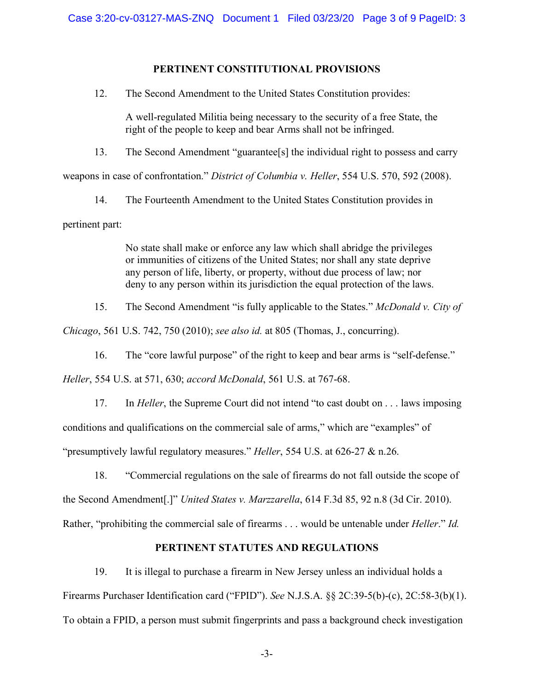## **PERTINENT CONSTITUTIONAL PROVISIONS**

12. The Second Amendment to the United States Constitution provides:

A well-regulated Militia being necessary to the security of a free State, the right of the people to keep and bear Arms shall not be infringed.

13. The Second Amendment "guarantee[s] the individual right to possess and carry

weapons in case of confrontation." *District of Columbia v. Heller*, 554 U.S. 570, 592 (2008).

14. The Fourteenth Amendment to the United States Constitution provides in pertinent part:

> No state shall make or enforce any law which shall abridge the privileges or immunities of citizens of the United States; nor shall any state deprive any person of life, liberty, or property, without due process of law; nor deny to any person within its jurisdiction the equal protection of the laws.

15. The Second Amendment "is fully applicable to the States." *McDonald v. City of* 

*Chicago*, 561 U.S. 742, 750 (2010); *see also id.* at 805 (Thomas, J., concurring).

16. The "core lawful purpose" of the right to keep and bear arms is "self-defense."

*Heller*, 554 U.S. at 571, 630; *accord McDonald*, 561 U.S. at 767-68.

17. In *Heller*, the Supreme Court did not intend "to cast doubt on . . . laws imposing conditions and qualifications on the commercial sale of arms," which are "examples" of "presumptively lawful regulatory measures." *Heller*, 554 U.S. at 626-27 & n.26.

18. "Commercial regulations on the sale of firearms do not fall outside the scope of the Second Amendment[.]" *United States v. Marzzarella*, 614 F.3d 85, 92 n.8 (3d Cir. 2010). Rather, "prohibiting the commercial sale of firearms . . . would be untenable under *Heller*." *Id.*

# **PERTINENT STATUTES AND REGULATIONS**

19. It is illegal to purchase a firearm in New Jersey unless an individual holds a Firearms Purchaser Identification card ("FPID"). *See* N.J.S.A. §§ 2C:39-5(b)-(c), 2C:58-3(b)(1). To obtain a FPID, a person must submit fingerprints and pass a background check investigation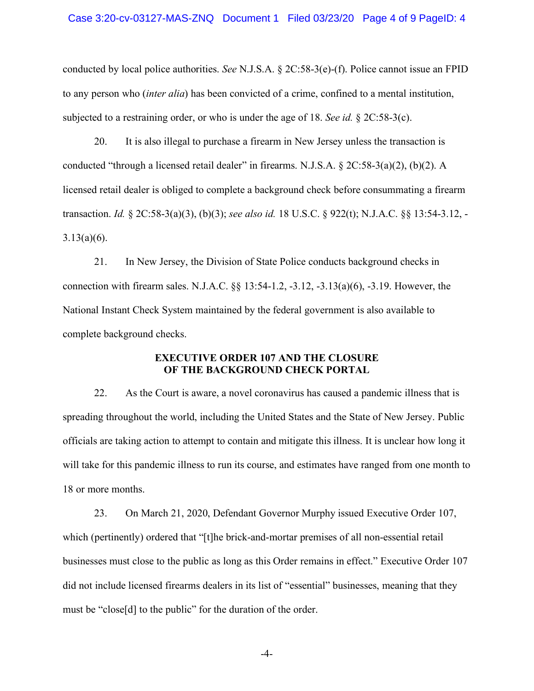conducted by local police authorities. *See* N.J.S.A. § 2C:58-3(e)-(f). Police cannot issue an FPID to any person who (*inter alia*) has been convicted of a crime, confined to a mental institution, subjected to a restraining order, or who is under the age of 18. *See id.* § 2C:58-3(c).

20. It is also illegal to purchase a firearm in New Jersey unless the transaction is conducted "through a licensed retail dealer" in firearms. N.J.S.A. § 2C:58-3(a)(2), (b)(2). A licensed retail dealer is obliged to complete a background check before consummating a firearm transaction. *Id.* § 2C:58-3(a)(3), (b)(3); *see also id.* 18 U.S.C. § 922(t); N.J.A.C. §§ 13:54-3.12, -  $3.13(a)(6)$ .

21. In New Jersey, the Division of State Police conducts background checks in connection with firearm sales. N.J.A.C. §§ 13:54-1.2, -3.12, -3.13(a)(6), -3.19. However, the National Instant Check System maintained by the federal government is also available to complete background checks.

## **EXECUTIVE ORDER 107 AND THE CLOSURE OF THE BACKGROUND CHECK PORTAL**

22. As the Court is aware, a novel coronavirus has caused a pandemic illness that is spreading throughout the world, including the United States and the State of New Jersey. Public officials are taking action to attempt to contain and mitigate this illness. It is unclear how long it will take for this pandemic illness to run its course, and estimates have ranged from one month to 18 or more months.

23. On March 21, 2020, Defendant Governor Murphy issued Executive Order 107, which (pertinently) ordered that "[t]he brick-and-mortar premises of all non-essential retail businesses must close to the public as long as this Order remains in effect." Executive Order 107 did not include licensed firearms dealers in its list of "essential" businesses, meaning that they must be "close[d] to the public" for the duration of the order.

-4-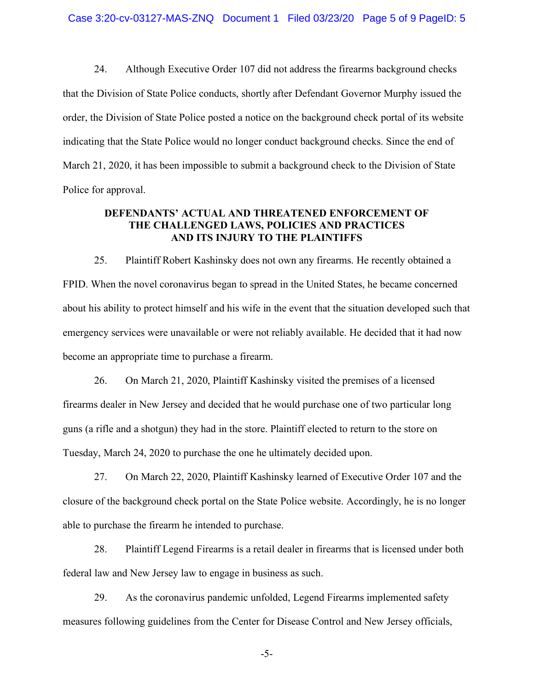24. Although Executive Order 107 did not address the firearms background checks that the Division of State Police conducts, shortly after Defendant Governor Murphy issued the order, the Division of State Police posted a notice on the background check portal of its website indicating that the State Police would no longer conduct background checks. Since the end of March 21, 2020, it has been impossible to submit a background check to the Division of State Police for approval.

## **DEFENDANTS' ACTUAL AND THREATENED ENFORCEMENT OF THE CHALLENGED LAWS, POLICIES AND PRACTICES AND ITS INJURY TO THE PLAINTIFFS**

25. Plaintiff Robert Kashinsky does not own any firearms. He recently obtained a FPID. When the novel coronavirus began to spread in the United States, he became concerned about his ability to protect himself and his wife in the event that the situation developed such that emergency services were unavailable or were not reliably available. He decided that it had now become an appropriate time to purchase a firearm.

26. On March 21, 2020, Plaintiff Kashinsky visited the premises of a licensed firearms dealer in New Jersey and decided that he would purchase one of two particular long guns (a rifle and a shotgun) they had in the store. Plaintiff elected to return to the store on Tuesday, March 24, 2020 to purchase the one he ultimately decided upon.

27. On March 22, 2020, Plaintiff Kashinsky learned of Executive Order 107 and the closure of the background check portal on the State Police website. Accordingly, he is no longer able to purchase the firearm he intended to purchase.

28. Plaintiff Legend Firearms is a retail dealer in firearms that is licensed under both federal law and New Jersey law to engage in business as such.

29. As the coronavirus pandemic unfolded, Legend Firearms implemented safety measures following guidelines from the Center for Disease Control and New Jersey officials,

-5-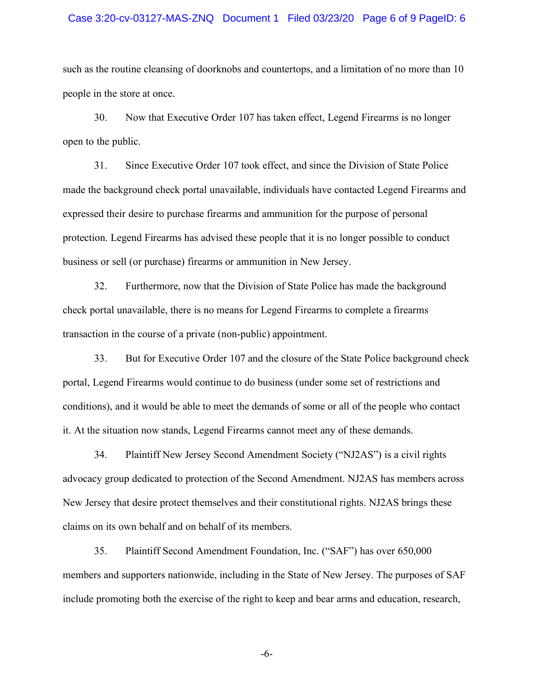#### Case 3:20-cv-03127-MAS-ZNQ Document 1 Filed 03/23/20 Page 6 of 9 PageID: 6

such as the routine cleansing of doorknobs and countertops, and a limitation of no more than 10 people in the store at once.

30. Now that Executive Order 107 has taken effect, Legend Firearms is no longer open to the public.

31. Since Executive Order 107 took effect, and since the Division of State Police made the background check portal unavailable, individuals have contacted Legend Firearms and expressed their desire to purchase firearms and ammunition for the purpose of personal protection. Legend Firearms has advised these people that it is no longer possible to conduct business or sell (or purchase) firearms or ammunition in New Jersey.

32. Furthermore, now that the Division of State Police has made the background check portal unavailable, there is no means for Legend Firearms to complete a firearms transaction in the course of a private (non-public) appointment.

33. But for Executive Order 107 and the closure of the State Police background check portal, Legend Firearms would continue to do business (under some set of restrictions and conditions), and it would be able to meet the demands of some or all of the people who contact it. At the situation now stands, Legend Firearms cannot meet any of these demands.

34. Plaintiff New Jersey Second Amendment Society ("NJ2AS") is a civil rights advocacy group dedicated to protection of the Second Amendment. NJ2AS has members across New Jersey that desire protect themselves and their constitutional rights. NJ2AS brings these claims on its own behalf and on behalf of its members.

35. Plaintiff Second Amendment Foundation, Inc. ("SAF") has over 650,000 members and supporters nationwide, including in the State of New Jersey. The purposes of SAF include promoting both the exercise of the right to keep and bear arms and education, research,

-6-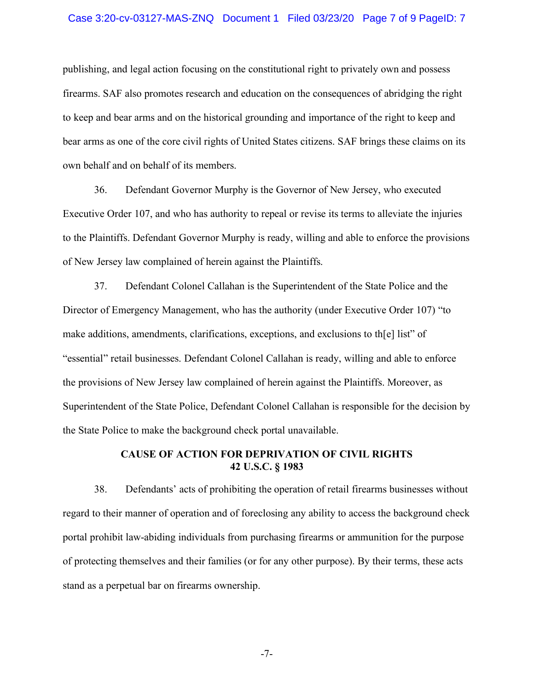#### Case 3:20-cv-03127-MAS-ZNQ Document 1 Filed 03/23/20 Page 7 of 9 PageID: 7

publishing, and legal action focusing on the constitutional right to privately own and possess firearms. SAF also promotes research and education on the consequences of abridging the right to keep and bear arms and on the historical grounding and importance of the right to keep and bear arms as one of the core civil rights of United States citizens. SAF brings these claims on its own behalf and on behalf of its members.

36. Defendant Governor Murphy is the Governor of New Jersey, who executed Executive Order 107, and who has authority to repeal or revise its terms to alleviate the injuries to the Plaintiffs. Defendant Governor Murphy is ready, willing and able to enforce the provisions of New Jersey law complained of herein against the Plaintiffs.

37. Defendant Colonel Callahan is the Superintendent of the State Police and the Director of Emergency Management, who has the authority (under Executive Order 107) "to make additions, amendments, clarifications, exceptions, and exclusions to th[e] list" of "essential" retail businesses. Defendant Colonel Callahan is ready, willing and able to enforce the provisions of New Jersey law complained of herein against the Plaintiffs. Moreover, as Superintendent of the State Police, Defendant Colonel Callahan is responsible for the decision by the State Police to make the background check portal unavailable.

### **CAUSE OF ACTION FOR DEPRIVATION OF CIVIL RIGHTS 42 U.S.C. § 1983**

38. Defendants' acts of prohibiting the operation of retail firearms businesses without regard to their manner of operation and of foreclosing any ability to access the background check portal prohibit law-abiding individuals from purchasing firearms or ammunition for the purpose of protecting themselves and their families (or for any other purpose). By their terms, these acts stand as a perpetual bar on firearms ownership.

-7-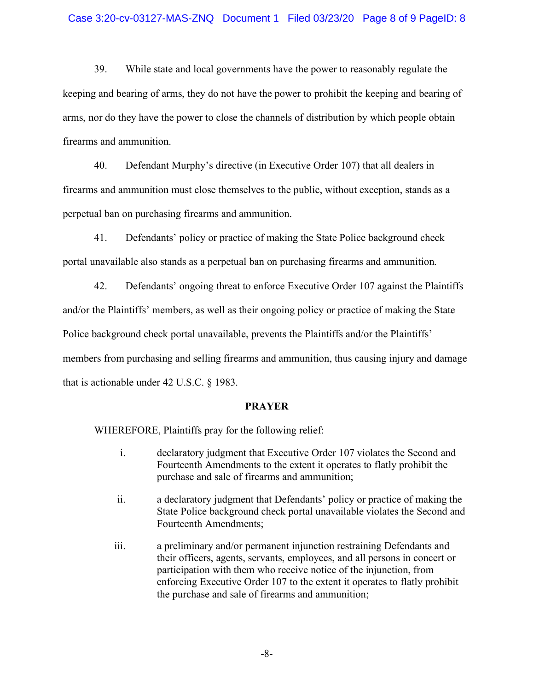### Case 3:20-cv-03127-MAS-ZNQ Document 1 Filed 03/23/20 Page 8 of 9 PageID: 8

39. While state and local governments have the power to reasonably regulate the keeping and bearing of arms, they do not have the power to prohibit the keeping and bearing of arms, nor do they have the power to close the channels of distribution by which people obtain firearms and ammunition.

40. Defendant Murphy's directive (in Executive Order 107) that all dealers in firearms and ammunition must close themselves to the public, without exception, stands as a perpetual ban on purchasing firearms and ammunition.

41. Defendants' policy or practice of making the State Police background check portal unavailable also stands as a perpetual ban on purchasing firearms and ammunition.

42. Defendants' ongoing threat to enforce Executive Order 107 against the Plaintiffs and/or the Plaintiffs' members, as well as their ongoing policy or practice of making the State Police background check portal unavailable, prevents the Plaintiffs and/or the Plaintiffs' members from purchasing and selling firearms and ammunition, thus causing injury and damage that is actionable under 42 U.S.C. § 1983.

#### **PRAYER**

WHEREFORE, Plaintiffs pray for the following relief:

- i. declaratory judgment that Executive Order 107 violates the Second and Fourteenth Amendments to the extent it operates to flatly prohibit the purchase and sale of firearms and ammunition;
- ii. a declaratory judgment that Defendants' policy or practice of making the State Police background check portal unavailable violates the Second and Fourteenth Amendments;
- iii. a preliminary and/or permanent injunction restraining Defendants and their officers, agents, servants, employees, and all persons in concert or participation with them who receive notice of the injunction, from enforcing Executive Order 107 to the extent it operates to flatly prohibit the purchase and sale of firearms and ammunition;